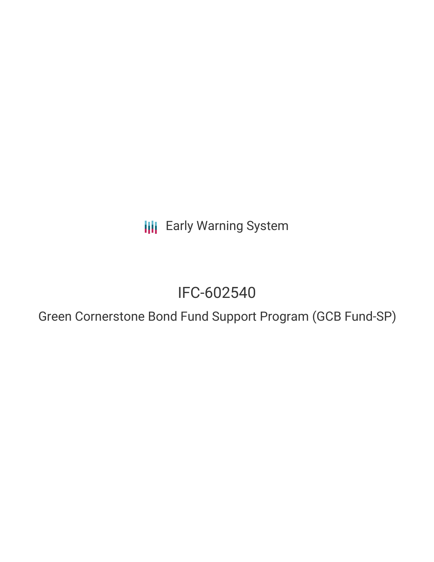**III** Early Warning System

# IFC-602540

Green Cornerstone Bond Fund Support Program (GCB Fund-SP)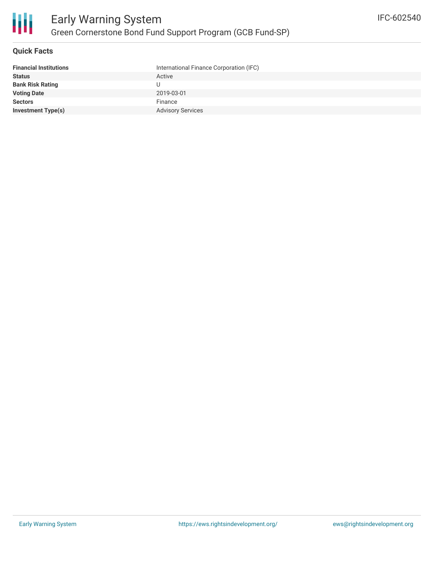### **Quick Facts**

| <b>Financial Institutions</b> | International Finance Corporation (IFC) |
|-------------------------------|-----------------------------------------|
| <b>Status</b>                 | Active                                  |
| <b>Bank Risk Rating</b>       |                                         |
| <b>Voting Date</b>            | 2019-03-01                              |
| <b>Sectors</b>                | Finance                                 |
| <b>Investment Type(s)</b>     | <b>Advisory Services</b>                |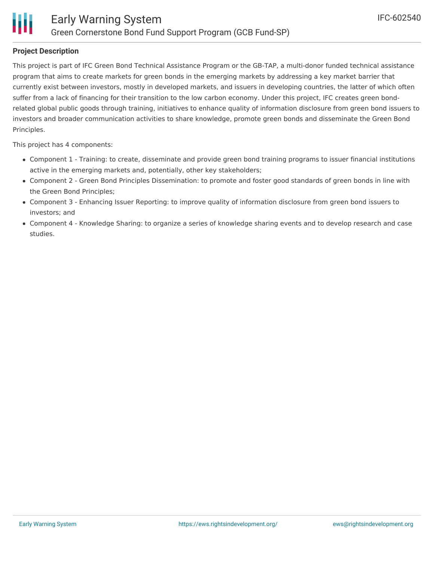

### **Project Description**

This project is part of IFC Green Bond Technical Assistance Program or the GB-TAP, a multi-donor funded technical assistance program that aims to create markets for green bonds in the emerging markets by addressing a key market barrier that currently exist between investors, mostly in developed markets, and issuers in developing countries, the latter of which often suffer from a lack of financing for their transition to the low carbon economy. Under this project, IFC creates green bondrelated global public goods through training, initiatives to enhance quality of information disclosure from green bond issuers to investors and broader communication activities to share knowledge, promote green bonds and disseminate the Green Bond Principles.

This project has 4 components:

- Component 1 Training: to create, disseminate and provide green bond training programs to issuer financial institutions active in the emerging markets and, potentially, other key stakeholders;
- Component 2 Green Bond Principles Dissemination: to promote and foster good standards of green bonds in line with the Green Bond Principles;
- Component 3 Enhancing Issuer Reporting: to improve quality of information disclosure from green bond issuers to investors; and
- Component 4 Knowledge Sharing: to organize a series of knowledge sharing events and to develop research and case studies.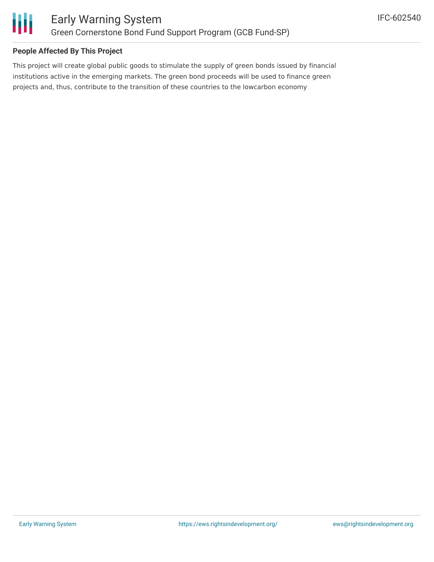

### **People Affected By This Project**

This project will create global public goods to stimulate the supply of green bonds issued by financial institutions active in the emerging markets. The green bond proceeds will be used to finance green projects and, thus, contribute to the transition of these countries to the lowcarbon economy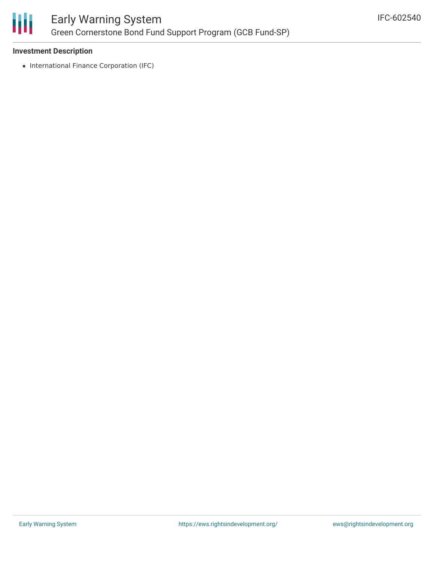

# Early Warning System Green Cornerstone Bond Fund Support Program (GCB Fund-SP)

### **Investment Description**

• International Finance Corporation (IFC)